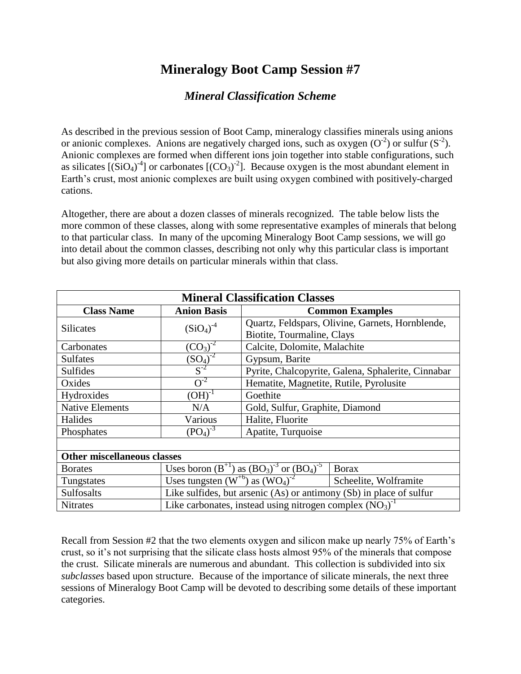## **Mineralogy Boot Camp Session #7**

## *Mineral Classification Scheme*

As described in the previous session of Boot Camp, mineralogy classifies minerals using anions or anionic complexes. Anions are negatively charged ions, such as oxygen  $(O<sup>2</sup>)$  or sulfur  $(S<sup>2</sup>)$ . Anionic complexes are formed when different ions join together into stable configurations, such as silicates  $[(SiO<sub>4</sub>)<sup>-4</sup>]$  or carbonates  $[(CO<sub>3</sub>)<sup>-2</sup>]$ . Because oxygen is the most abundant element in Earth's crust, most anionic complexes are built using oxygen combined with positively-charged cations.

Altogether, there are about a dozen classes of minerals recognized. The table below lists the more common of these classes, along with some representative examples of minerals that belong to that particular class. In many of the upcoming Mineralogy Boot Camp sessions, we will go into detail about the common classes, describing not only why this particular class is important but also giving more details on particular minerals within that class.

| <b>Mineral Classification Classes</b> |                                                                     |                                                    |                       |
|---------------------------------------|---------------------------------------------------------------------|----------------------------------------------------|-----------------------|
| <b>Class Name</b>                     | <b>Anion Basis</b>                                                  | <b>Common Examples</b>                             |                       |
| <b>Silicates</b>                      | $(SiO_4)^{-4}$                                                      | Quartz, Feldspars, Olivine, Garnets, Hornblende,   |                       |
|                                       |                                                                     | Biotite, Tourmaline, Clays                         |                       |
| Carbonates                            | $(CO_3)^{-2}$                                                       | Calcite, Dolomite, Malachite                       |                       |
| <b>Sulfates</b>                       | $\frac{(SO_4)^{-2}}{S^{-2}}$                                        | Gypsum, Barite                                     |                       |
| <b>Sulfides</b>                       |                                                                     | Pyrite, Chalcopyrite, Galena, Sphalerite, Cinnabar |                       |
| Oxides                                | $O^{-2}$                                                            | Hematite, Magnetite, Rutile, Pyrolusite            |                       |
| Hydroxides                            | $(OH)^{-1}$                                                         | Goethite                                           |                       |
| <b>Native Elements</b>                | N/A                                                                 | Gold, Sulfur, Graphite, Diamond                    |                       |
| Halides                               | Various                                                             | Halite, Fluorite                                   |                       |
| Phosphates                            | $(PO4)-3$                                                           | Apatite, Turquoise                                 |                       |
|                                       |                                                                     |                                                    |                       |
| <b>Other miscellaneous classes</b>    |                                                                     |                                                    |                       |
| <b>Borates</b>                        | Uses boron $(B^{+1})$ as $(BO_3)^{-3}$ or $(BO_4)^{-5}$             |                                                    | <b>Borax</b>          |
| Tungstates                            | Uses tungsten $(W^{+6})$ as $(WO_4)^{-2}$                           |                                                    | Scheelite, Wolframite |
| <b>Sulfosalts</b>                     | Like sulfides, but arsenic (As) or antimony (Sb) in place of sulfur |                                                    |                       |
| <b>Nitrates</b>                       | Like carbonates, instead using nitrogen complex $(NO3)-1$           |                                                    |                       |

Recall from Session #2 that the two elements oxygen and silicon make up nearly 75% of Earth's crust, so it's not surprising that the silicate class hosts almost 95% of the minerals that compose the crust. Silicate minerals are numerous and abundant. This collection is subdivided into six *subclasses* based upon structure. Because of the importance of silicate minerals, the next three sessions of Mineralogy Boot Camp will be devoted to describing some details of these important categories.